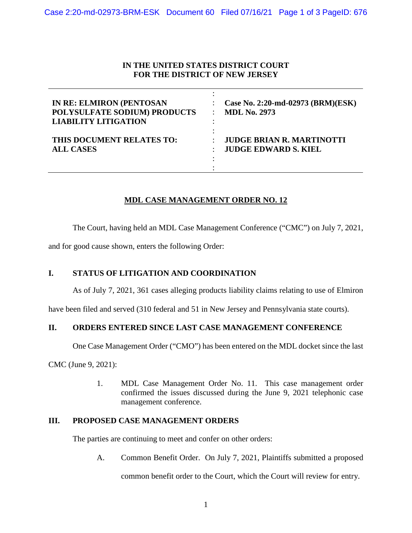# **IN THE UNITED STATES DISTRICT COURT FOR THE DISTRICT OF NEW JERSEY**

| <b>IN RE: ELMIRON (PENTOSAN</b><br>POLYSULFATE SODIUM) PRODUCTS<br><b>LIABILITY LITIGATION</b> | Case No. 2:20-md-02973 (BRM)(ESK)<br><b>MDL No. 2973</b> |
|------------------------------------------------------------------------------------------------|----------------------------------------------------------|
| THIS DOCUMENT RELATES TO:                                                                      | <b>JUDGE BRIAN R. MARTINOTTI</b>                         |
| <b>ALL CASES</b>                                                                               | <b>JUDGE EDWARD S. KIEL</b>                              |

# **MDL CASE MANAGEMENT ORDER NO. 12**

The Court, having held an MDL Case Management Conference ("CMC") on July 7, 2021,

and for good cause shown, enters the following Order:

# **I. STATUS OF LITIGATION AND COORDINATION**

As of July 7, 2021, 361 cases alleging products liability claims relating to use of Elmiron

have been filed and served (310 federal and 51 in New Jersey and Pennsylvania state courts).

# **II. ORDERS ENTERED SINCE LAST CASE MANAGEMENT CONFERENCE**

One Case Management Order ("CMO") has been entered on the MDL docket since the last

CMC (June 9, 2021):

1. MDL Case Management Order No. 11. This case management order confirmed the issues discussed during the June 9, 2021 telephonic case management conference.

# **III. PROPOSED CASE MANAGEMENT ORDERS**

The parties are continuing to meet and confer on other orders:

A. Common Benefit Order. On July 7, 2021, Plaintiffs submitted a proposed

common benefit order to the Court, which the Court will review for entry.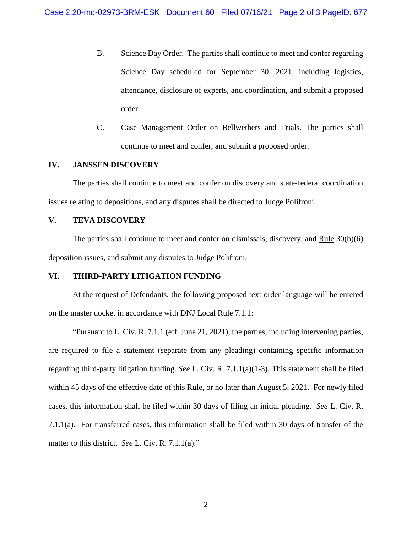- B. Science Day Order. The parties shall continue to meet and confer regarding Science Day scheduled for September 30, 2021, including logistics, attendance, disclosure of experts, and coordination, and submit a proposed order.
- C. Case Management Order on Bellwethers and Trials. The parties shall continue to meet and confer, and submit a proposed order.

### **IV. JANSSEN DISCOVERY**

The parties shall continue to meet and confer on discovery and state-federal coordination issues relating to depositions, and any disputes shall be directed to Judge Polifroni.

#### **V. TEVA DISCOVERY**

The parties shall continue to meet and confer on dismissals, discovery, and Rule 30(b)(6) deposition issues, and submit any disputes to Judge Polifroni.

#### **VI. THIRD-PARTY LITIGATION FUNDING**

At the request of Defendants, the following proposed text order language will be entered on the master docket in accordance with DNJ Local Rule 7.1.1:

"Pursuant to L. Civ. R. 7.1.1 (eff. June 21, 2021), the parties, including intervening parties, are required to file a statement (separate from any pleading) containing specific information regarding third-party litigation funding. *See* L. Civ. R. 7.1.1(a)(1-3). This statement shall be filed within 45 days of the effective date of this Rule, or no later than August 5, 2021. For newly filed cases, this information shall be filed within 30 days of filing an initial pleading. *See* L. Civ. R. 7.1.1(a). For transferred cases, this information shall be filed within 30 days of transfer of the matter to this district. *See* L. Civ. R. 7.1.1(a)."